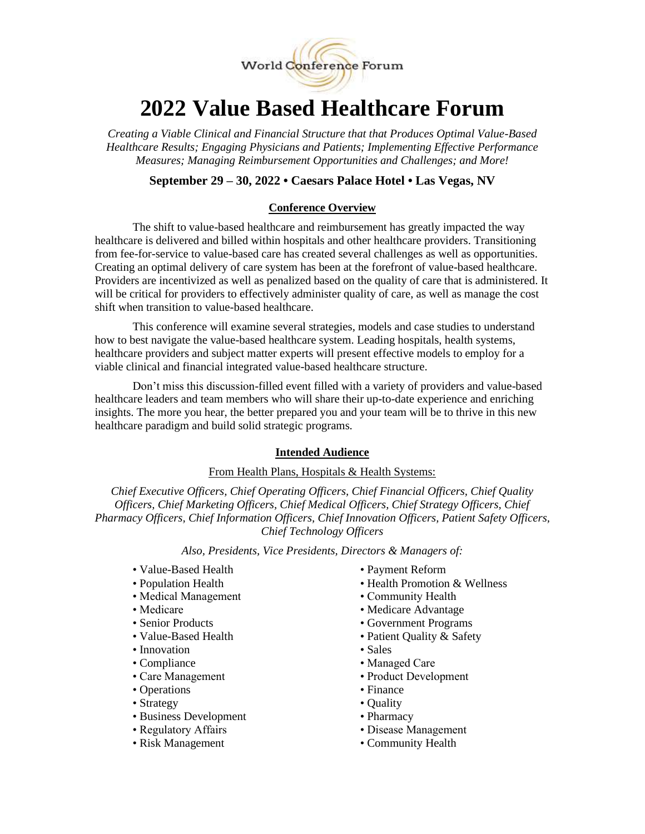

# **2022 Value Based Healthcare Forum**

*Creating a Viable Clinical and Financial Structure that that Produces Optimal Value-Based Healthcare Results; Engaging Physicians and Patients; Implementing Effective Performance Measures; Managing Reimbursement Opportunities and Challenges; and More!* 

# **September 29 – 30, 2022 • Caesars Palace Hotel • Las Vegas, NV**

## **Conference Overview**

The shift to value-based healthcare and reimbursement has greatly impacted the way healthcare is delivered and billed within hospitals and other healthcare providers. Transitioning from fee-for-service to value-based care has created several challenges as well as opportunities. Creating an optimal delivery of care system has been at the forefront of value-based healthcare. Providers are incentivized as well as penalized based on the quality of care that is administered. It will be critical for providers to effectively administer quality of care, as well as manage the cost shift when transition to value-based healthcare.

This conference will examine several strategies, models and case studies to understand how to best navigate the value-based healthcare system. Leading hospitals, health systems, healthcare providers and subject matter experts will present effective models to employ for a viable clinical and financial integrated value-based healthcare structure.

Don't miss this discussion-filled event filled with a variety of providers and value-based healthcare leaders and team members who will share their up-to-date experience and enriching insights. The more you hear, the better prepared you and your team will be to thrive in this new healthcare paradigm and build solid strategic programs.

#### **Intended Audience**

### From Health Plans, Hospitals & Health Systems:

*Chief Executive Officers, Chief Operating Officers, Chief Financial Officers, Chief Quality Officers, Chief Marketing Officers, Chief Medical Officers, Chief Strategy Officers, Chief Pharmacy Officers, Chief Information Officers, Chief Innovation Officers, Patient Safety Officers, Chief Technology Officers*

*Also, Presidents, Vice Presidents, Directors & Managers of:*

- Value-Based Health Payment Reform
- 
- Medical Management Community Health
- 
- 
- 
- Innovation Sales
- Compliance Managed Care
- 
- Operations Finance
- Strategy Quality
- Business Development Pharmacy
- 
- 
- 
- Population Health Health Promotion & Wellness
	-
- Medicare Medicare Advantage
- Senior Products Government Programs
- Value-Based Health Patient Quality & Safety
	-
	-
- Care Management Product Development
	-
	-
	-
- Regulatory Affairs Disease Management
- Risk Management Community Health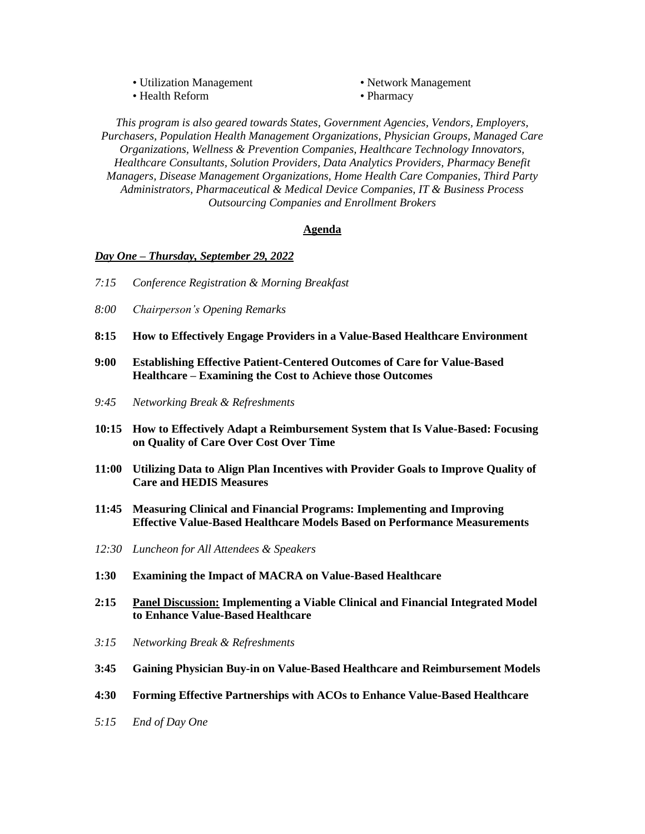• Utilization Management • Network Management • Health Reform • Pharmacy

*This program is also geared towards States, Government Agencies, Vendors, Employers, Purchasers, Population Health Management Organizations, Physician Groups, Managed Care Organizations, Wellness & Prevention Companies, Healthcare Technology Innovators, Healthcare Consultants, Solution Providers, Data Analytics Providers, Pharmacy Benefit Managers, Disease Management Organizations, Home Health Care Companies, Third Party Administrators, Pharmaceutical & Medical Device Companies, IT & Business Process Outsourcing Companies and Enrollment Brokers*

### **Agenda**

#### *Day One – Thursday, September 29, 2022*

- *7:15 Conference Registration & Morning Breakfast*
- *8:00 Chairperson's Opening Remarks*
- **8:15 How to Effectively Engage Providers in a Value-Based Healthcare Environment**
- **9:00 Establishing Effective Patient-Centered Outcomes of Care for Value-Based Healthcare – Examining the Cost to Achieve those Outcomes**
- *9:45 Networking Break & Refreshments*
- **10:15 How to Effectively Adapt a Reimbursement System that Is Value-Based: Focusing on Quality of Care Over Cost Over Time**
- **11:00 Utilizing Data to Align Plan Incentives with Provider Goals to Improve Quality of Care and HEDIS Measures**
- **11:45 Measuring Clinical and Financial Programs: Implementing and Improving Effective Value-Based Healthcare Models Based on Performance Measurements**
- *12:30 Luncheon for All Attendees & Speakers*
- **1:30 Examining the Impact of MACRA on Value-Based Healthcare**
- **2:15 Panel Discussion: Implementing a Viable Clinical and Financial Integrated Model to Enhance Value-Based Healthcare**
- *3:15 Networking Break & Refreshments*
- **3:45 Gaining Physician Buy-in on Value-Based Healthcare and Reimbursement Models**
- **4:30 Forming Effective Partnerships with ACOs to Enhance Value-Based Healthcare**
- *5:15 End of Day One*